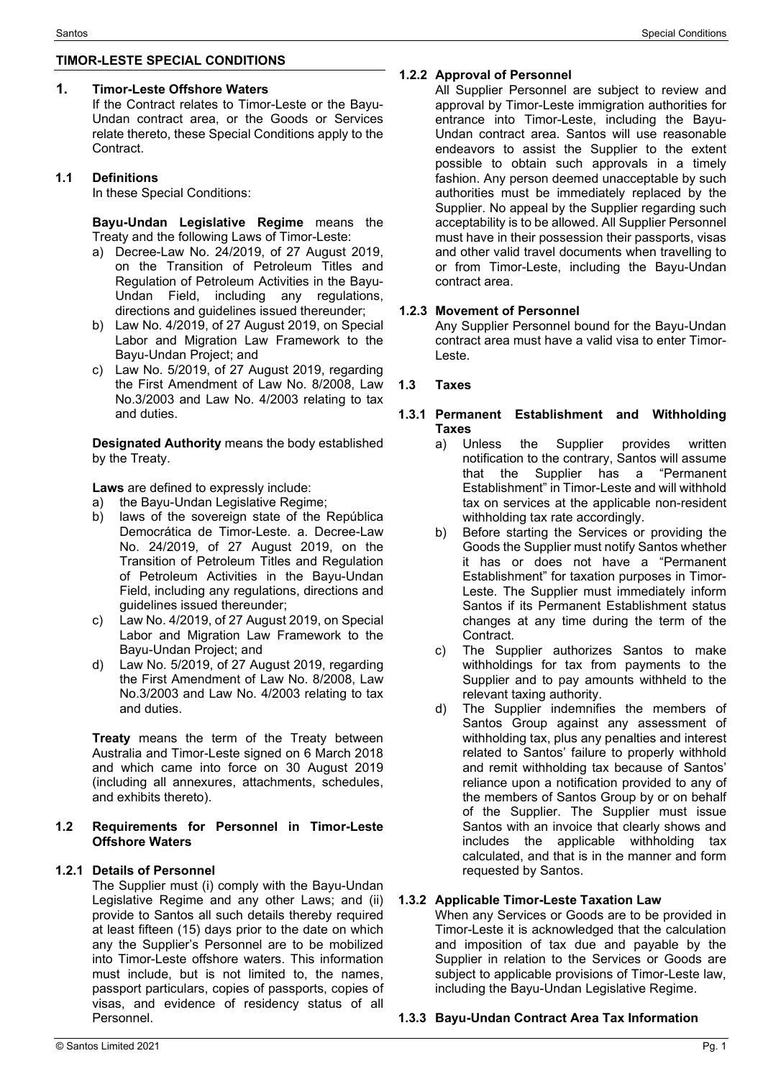## **TIMOR-LESTE SPECIAL CONDITIONS**

#### **1. Timor-Leste Offshore Waters**

If the Contract relates to Timor-Leste or the Bayu-Undan contract area, or the Goods or Services relate thereto, these Special Conditions apply to the Contract.

#### **1.1 Definitions**

In these Special Conditions:

**Bayu-Undan Legislative Regime** means the Treaty and the following Laws of Timor-Leste:

- a) Decree-Law No. 24/2019, of 27 August 2019, on the Transition of Petroleum Titles and Regulation of Petroleum Activities in the Bayu-Undan Field, including any regulations, directions and guidelines issued thereunder;
- b) Law No. 4/2019, of 27 August 2019, on Special Labor and Migration Law Framework to the Bayu-Undan Project; and
- c) Law No. 5/2019, of 27 August 2019, regarding the First Amendment of Law No. 8/2008, Law No.3/2003 and Law No. 4/2003 relating to tax and duties.

**Designated Authority** means the body established by the Treaty.

**Laws** are defined to expressly include:

- a) the Bayu-Undan Legislative Regime;
- b) laws of the sovereign state of the República Democrática de Timor-Leste. a. Decree-Law No. 24/2019, of 27 August 2019, on the Transition of Petroleum Titles and Regulation of Petroleum Activities in the Bayu-Undan Field, including any regulations, directions and guidelines issued thereunder;
- c) Law No. 4/2019, of 27 August 2019, on Special Labor and Migration Law Framework to the Bayu-Undan Project; and
- d) Law No. 5/2019, of 27 August 2019, regarding the First Amendment of Law No. 8/2008, Law No.3/2003 and Law No. 4/2003 relating to tax and duties.

**Treaty** means the term of the Treaty between Australia and Timor-Leste signed on 6 March 2018 and which came into force on 30 August 2019 (including all annexures, attachments, schedules, and exhibits thereto).

#### **1.2 Requirements for Personnel in Timor-Leste Offshore Waters**

### **1.2.1 Details of Personnel**

The Supplier must (i) comply with the Bayu-Undan Legislative Regime and any other Laws; and (ii) provide to Santos all such details thereby required at least fifteen (15) days prior to the date on which any the Supplier's Personnel are to be mobilized into Timor-Leste offshore waters. This information must include, but is not limited to, the names, passport particulars, copies of passports, copies of visas, and evidence of residency status of all Personnel.

# **1.2.2 Approval of Personnel**

All Supplier Personnel are subject to review and approval by Timor-Leste immigration authorities for entrance into Timor-Leste, including the Bayu-Undan contract area. Santos will use reasonable endeavors to assist the Supplier to the extent possible to obtain such approvals in a timely fashion. Any person deemed unacceptable by such authorities must be immediately replaced by the Supplier. No appeal by the Supplier regarding such acceptability is to be allowed. All Supplier Personnel must have in their possession their passports, visas and other valid travel documents when travelling to or from Timor-Leste, including the Bayu-Undan contract area.

#### **1.2.3 Movement of Personnel**

Any Supplier Personnel bound for the Bayu-Undan contract area must have a valid visa to enter Timor-Leste.

#### **1.3 Taxes**

#### **1.3.1 Permanent Establishment and Withholding Taxes**

- a) Unless the Supplier provides written notification to the contrary, Santos will assume that the Supplier has a "Permanent Establishment" in Timor-Leste and will withhold tax on services at the applicable non-resident withholding tax rate accordingly.
- b) Before starting the Services or providing the Goods the Supplier must notify Santos whether it has or does not have a "Permanent Establishment" for taxation purposes in Timor-Leste. The Supplier must immediately inform Santos if its Permanent Establishment status changes at any time during the term of the Contract.
- c) The Supplier authorizes Santos to make withholdings for tax from payments to the Supplier and to pay amounts withheld to the relevant taxing authority.
- d) The Supplier indemnifies the members of Santos Group against any assessment of withholding tax, plus any penalties and interest related to Santos' failure to properly withhold and remit withholding tax because of Santos' reliance upon a notification provided to any of the members of Santos Group by or on behalf of the Supplier. The Supplier must issue Santos with an invoice that clearly shows and includes the applicable withholding tax calculated, and that is in the manner and form requested by Santos.

### **1.3.2 Applicable Timor-Leste Taxation Law**

When any Services or Goods are to be provided in Timor-Leste it is acknowledged that the calculation and imposition of tax due and payable by the Supplier in relation to the Services or Goods are subject to applicable provisions of Timor-Leste law, including the Bayu-Undan Legislative Regime.

### **1.3.3 Bayu-Undan Contract Area Tax Information**